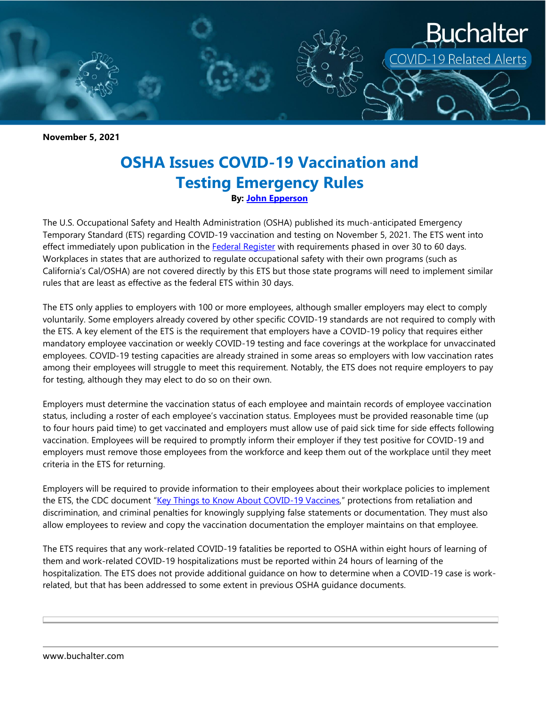

**November 5, 2021**

## **OSHA Issues COVID-19 Vaccination and Testing Emergency Rules By: [John Epperson](https://www.buchalter.com/attorneys/john-epperson/#bio)**

The U.S. Occupational Safety and Health Administration (OSHA) published its much-anticipated Emergency Temporary Standard (ETS) regarding COVID-19 vaccination and testing on November 5, 2021. The ETS went into effect immediately upon publication in the [Federal Register](https://www.federalregister.gov/documents/2021/11/05/2021-23643/covid-19-vaccination-and-testing-emergency-temporary-standard) with requirements phased in over 30 to 60 days. Workplaces in states that are authorized to regulate occupational safety with their own programs (such as California's Cal/OSHA) are not covered directly by this ETS but those state programs will need to implement similar rules that are least as effective as the federal ETS within 30 days.

The ETS only applies to employers with 100 or more employees, although smaller employers may elect to comply voluntarily. Some employers already covered by other specific COVID-19 standards are not required to comply with the ETS. A key element of the ETS is the requirement that employers have a COVID-19 policy that requires either mandatory employee vaccination or weekly COVID-19 testing and face coverings at the workplace for unvaccinated employees. COVID-19 testing capacities are already strained in some areas so employers with low vaccination rates among their employees will struggle to meet this requirement. Notably, the ETS does not require employers to pay for testing, although they may elect to do so on their own.

Employers must determine the vaccination status of each employee and maintain records of employee vaccination status, including a roster of each employee's vaccination status. Employees must be provided reasonable time (up to four hours paid time) to get vaccinated and employers must allow use of paid sick time for side effects following vaccination. Employees will be required to promptly inform their employer if they test positive for COVID-19 and employers must remove those employees from the workforce and keep them out of the workplace until they meet criteria in the ETS for returning.

Employers will be required to provide information to their employees about their workplace policies to implement the ETS, the CDC document "[Key Things to Know About COVID-19 Vaccines,](https://www.cdc.gov/coronavirus/2019-ncov/vaccines/keythingstoknow.html)" protections from retaliation and discrimination, and criminal penalties for knowingly supplying false statements or documentation. They must also allow employees to review and copy the vaccination documentation the employer maintains on that employee.

The ETS requires that any work-related COVID-19 fatalities be reported to OSHA within eight hours of learning of them and work-related COVID-19 hospitalizations must be reported within 24 hours of learning of the hospitalization. The ETS does not provide additional guidance on how to determine when a COVID-19 case is workrelated, but that has been addressed to some extent in previous OSHA guidance documents.